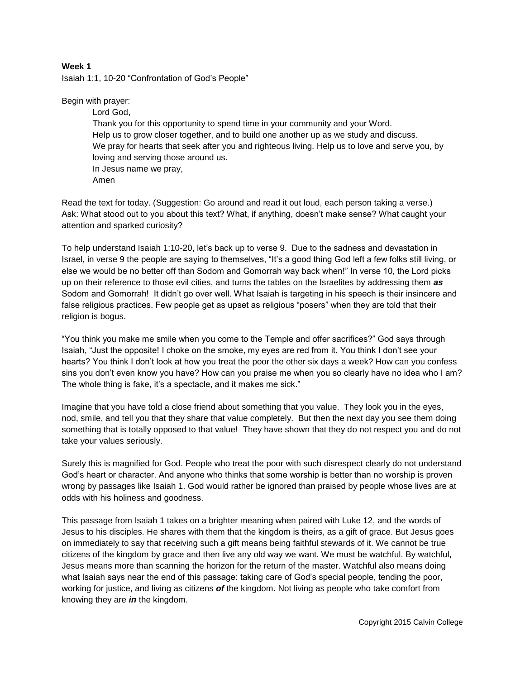## **Week 1**

Isaiah 1:1, 10-20 "Confrontation of God's People"

Begin with prayer:

Lord God, Thank you for this opportunity to spend time in your community and your Word. Help us to grow closer together, and to build one another up as we study and discuss. We pray for hearts that seek after you and righteous living. Help us to love and serve you, by loving and serving those around us. In Jesus name we pray, Amen

Read the text for today. (Suggestion: Go around and read it out loud, each person taking a verse.) Ask: What stood out to you about this text? What, if anything, doesn't make sense? What caught your attention and sparked curiosity?

To help understand Isaiah 1:10-20, let's back up to verse 9. Due to the sadness and devastation in Israel, in verse 9 the people are saying to themselves, "It's a good thing God left a few folks still living, or else we would be no better off than Sodom and Gomorrah way back when!" In verse 10, the Lord picks up on their reference to those evil cities, and turns the tables on the Israelites by addressing them *as* Sodom and Gomorrah! It didn't go over well. What Isaiah is targeting in his speech is their insincere and false religious practices. Few people get as upset as religious "posers" when they are told that their religion is bogus.

"You think you make me smile when you come to the Temple and offer sacrifices?" God says through Isaiah, "Just the opposite! I choke on the smoke, my eyes are red from it. You think I don't see your hearts? You think I don't look at how you treat the poor the other six days a week? How can you confess sins you don't even know you have? How can you praise me when you so clearly have no idea who I am? The whole thing is fake, it's a spectacle, and it makes me sick."

Imagine that you have told a close friend about something that you value. They look you in the eyes, nod, smile, and tell you that they share that value completely. But then the next day you see them doing something that is totally opposed to that value! They have shown that they do not respect you and do not take your values seriously.

Surely this is magnified for God. People who treat the poor with such disrespect clearly do not understand God's heart or character. And anyone who thinks that some worship is better than no worship is proven wrong by passages like Isaiah 1. God would rather be ignored than praised by people whose lives are at odds with his holiness and goodness.

This passage from Isaiah 1 takes on a brighter meaning when paired with Luke 12, and the words of Jesus to his disciples. He shares with them that the kingdom is theirs, as a gift of grace. But Jesus goes on immediately to say that receiving such a gift means being faithful stewards of it. We cannot be true citizens of the kingdom by grace and then live any old way we want. We must be watchful. By watchful, Jesus means more than scanning the horizon for the return of the master. Watchful also means doing what Isaiah says near the end of this passage: taking care of God's special people, tending the poor, working for justice, and living as citizens *of* the kingdom. Not living as people who take comfort from knowing they are *in* the kingdom.